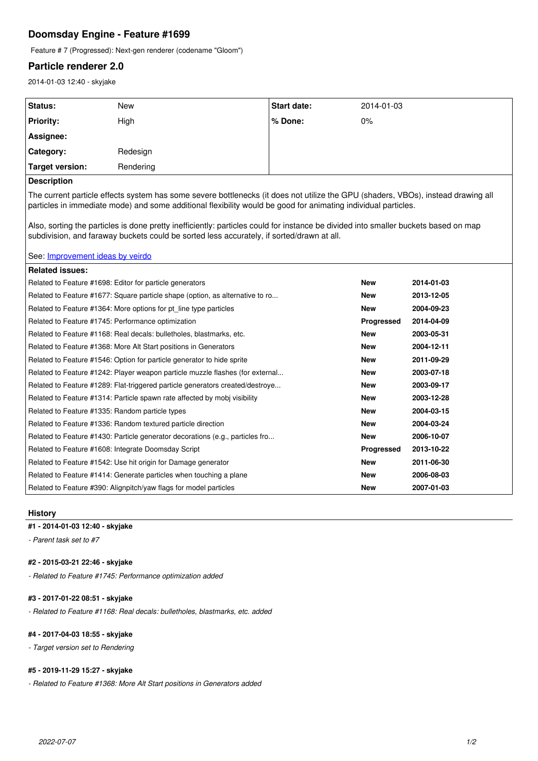# **Doomsday Engine - Feature #1699**

Feature # 7 (Progressed): Next-gen renderer (codename "Gloom")

## **Particle renderer 2.0**

2014-01-03 12:40 - skyjake

| <b>Status:</b>   | <b>New</b> | <b>Start date:</b> | 2014-01-03 |
|------------------|------------|--------------------|------------|
| <b>Priority:</b> | High       | % Done:            | $0\%$      |
| Assignee:        |            |                    |            |
| Category:        | Redesign   |                    |            |
| Target version:  | Rendering  |                    |            |
|                  |            |                    |            |

## **Description**

The current particle effects system has some severe bottlenecks (it does not utilize the GPU (shaders, VBOs), instead drawing all particles in immediate mode) and some additional flexibility would be good for animating individual particles.

Also, sorting the particles is done pretty inefficiently: particles could for instance be divided into smaller buckets based on map subdivision, and faraway buckets could be sorted less accurately, if sorted/drawn at all.

### See: [Improvement ideas by veirdo](http://dengine.net/forums/viewtopic.php?f=9&t=1504)

| <b>Related issues:</b>                                                        |            |            |
|-------------------------------------------------------------------------------|------------|------------|
| Related to Feature #1698: Editor for particle generators                      | <b>New</b> | 2014-01-03 |
| Related to Feature #1677: Square particle shape (option, as alternative to ro | New        | 2013-12-05 |
| Related to Feature #1364: More options for pt_line type particles             | New        | 2004-09-23 |
| Related to Feature #1745: Performance optimization                            | Progressed | 2014-04-09 |
| Related to Feature #1168: Real decals: bulletholes, blastmarks, etc.          | <b>New</b> | 2003-05-31 |
| Related to Feature #1368: More Alt Start positions in Generators              | <b>New</b> | 2004-12-11 |
| Related to Feature #1546: Option for particle generator to hide sprite        | <b>New</b> | 2011-09-29 |
| Related to Feature #1242: Player weapon particle muzzle flashes (for external | <b>New</b> | 2003-07-18 |
| Related to Feature #1289: Flat-triggered particle generators created/destroye | <b>New</b> | 2003-09-17 |
| Related to Feature #1314: Particle spawn rate affected by mobi visibility     | New        | 2003-12-28 |
| Related to Feature #1335: Random particle types                               | <b>New</b> | 2004-03-15 |
| Related to Feature #1336: Random textured particle direction                  | New        | 2004-03-24 |
| Related to Feature #1430: Particle generator decorations (e.g., particles fro | <b>New</b> | 2006-10-07 |
| Related to Feature #1608: Integrate Doomsday Script                           | Progressed | 2013-10-22 |
| Related to Feature #1542: Use hit origin for Damage generator                 | <b>New</b> | 2011-06-30 |
| Related to Feature #1414: Generate particles when touching a plane            | <b>New</b> | 2006-08-03 |
| Related to Feature #390: Alignpitch/yaw flags for model particles             | New        | 2007-01-03 |

#### **History**

## **#1 - 2014-01-03 12:40 - skyjake**

*- Parent task set to #7*

## **#2 - 2015-03-21 22:46 - skyjake**

*- Related to Feature #1745: Performance optimization added*

## **#3 - 2017-01-22 08:51 - skyjake**

*- Related to Feature #1168: Real decals: bulletholes, blastmarks, etc. added*

## **#4 - 2017-04-03 18:55 - skyjake**

*- Target version set to Rendering*

## **#5 - 2019-11-29 15:27 - skyjake**

*- Related to Feature #1368: More Alt Start positions in Generators added*